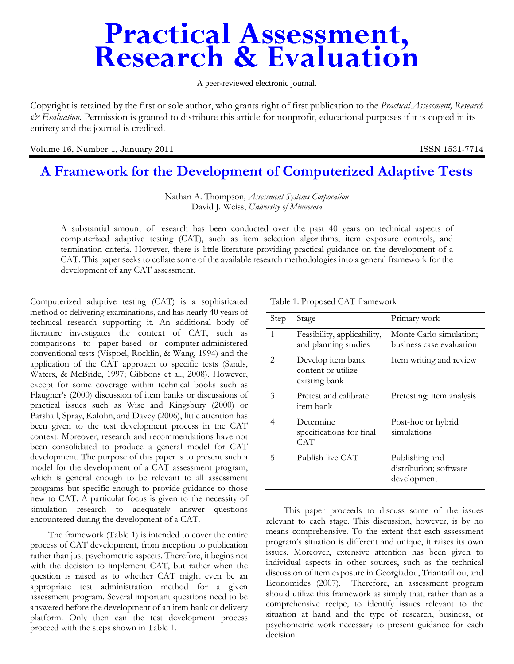# **Practical Assessment,<br>Research & Evaluation**

A peer-reviewed electronic journal.

Copyright is retained by the first or sole author, who grants right of first publication to the *Practical Assessment, Research & Evaluation.* Permission is granted to distribute this article for nonprofit, educational purposes if it is copied in its entirety and the journal is credited.

Volume 16, Number 1, January 2011 **ISSN 1531-7714** 

# **A Framework for the Development of Computerized Adaptive Tests**

Nathan A. Thompson*, Assessment Systems Corporation*  David J. Weiss, *University of Minnesota* 

A substantial amount of research has been conducted over the past 40 years on technical aspects of computerized adaptive testing (CAT), such as item selection algorithms, item exposure controls, and termination criteria. However, there is little literature providing practical guidance on the development of a CAT. This paper seeks to collate some of the available research methodologies into a general framework for the development of any CAT assessment.

Computerized adaptive testing (CAT) is a sophisticated method of delivering examinations, and has nearly 40 years of technical research supporting it. An additional body of literature investigates the context of CAT, such as comparisons to paper-based or computer-administered conventional tests (Vispoel, Rocklin, & Wang, 1994) and the application of the CAT approach to specific tests (Sands, Waters, & McBride, 1997; Gibbons et al., 2008). However, except for some coverage within technical books such as Flaugher's (2000) discussion of item banks or discussions of practical issues such as Wise and Kingsbury (2000) or Parshall, Spray, Kalohn, and Davey (2006), little attention has been given to the test development process in the CAT context. Moreover, research and recommendations have not been consolidated to produce a general model for CAT development. The purpose of this paper is to present such a model for the development of a CAT assessment program, which is general enough to be relevant to all assessment programs but specific enough to provide guidance to those new to CAT. A particular focus is given to the necessity of simulation research to adequately answer questions encountered during the development of a CAT.

The framework (Table 1) is intended to cover the entire process of CAT development, from inception to publication rather than just psychometric aspects. Therefore, it begins not with the decision to implement CAT, but rather when the question is raised as to whether CAT might even be an appropriate test administration method for a given assessment program. Several important questions need to be answered before the development of an item bank or delivery platform. Only then can the test development process proceed with the steps shown in Table 1.

| Step                        | Stage                                                    | Primary work                                            |
|-----------------------------|----------------------------------------------------------|---------------------------------------------------------|
| 1                           | Feasibility, applicability,<br>and planning studies      | Monte Carlo simulation;<br>business case evaluation     |
| $\mathcal{D}_{\mathcal{L}}$ | Develop item bank<br>content or utilize<br>existing bank | Item writing and review                                 |
| 3                           | Pretest and calibrate<br>item bank                       | Pretesting; item analysis                               |
| 4                           | Determine<br>specifications for final<br>CAT             | Post-hoc or hybrid<br>simulations                       |
| 5                           | Publish live CAT                                         | Publishing and<br>distribution; software<br>development |

Table 1: Proposed CAT framework

This paper proceeds to discuss some of the issues relevant to each stage. This discussion, however, is by no means comprehensive. To the extent that each assessment program's situation is different and unique, it raises its own issues. Moreover, extensive attention has been given to individual aspects in other sources, such as the technical discussion of item exposure in Georgiadou, Triantafillou, and Economides (2007). Therefore, an assessment program should utilize this framework as simply that, rather than as a comprehensive recipe, to identify issues relevant to the situation at hand and the type of research, business, or psychometric work necessary to present guidance for each decision.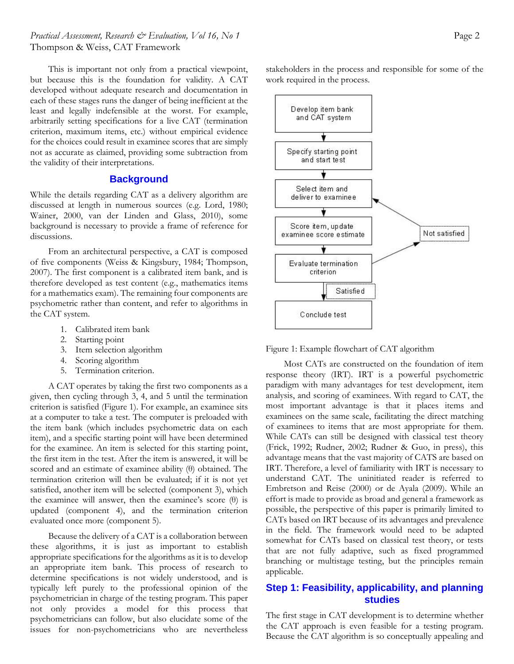# *Practical Assessment, Research & Evaluation, Vol 16, No 1* **Page 2 Page 2 Page 2** Thompson & Weiss, CAT Framework

This is important not only from a practical viewpoint, but because this is the foundation for validity. A CAT developed without adequate research and documentation in each of these stages runs the danger of being inefficient at the least and legally indefensible at the worst. For example, arbitrarily setting specifications for a live CAT (termination criterion, maximum items, etc.) without empirical evidence for the choices could result in examinee scores that are simply not as accurate as claimed, providing some subtraction from the validity of their interpretations.

#### **Background**

While the details regarding CAT as a delivery algorithm are discussed at length in numerous sources (e.g. Lord, 1980; Wainer, 2000, van der Linden and Glass, 2010), some background is necessary to provide a frame of reference for discussions.

From an architectural perspective, a CAT is composed of five components (Weiss & Kingsbury, 1984; Thompson, 2007). The first component is a calibrated item bank, and is therefore developed as test content (e.g., mathematics items for a mathematics exam). The remaining four components are psychometric rather than content, and refer to algorithms in the CAT system.

- 1. Calibrated item bank
- 2. Starting point
- 3. Item selection algorithm
- 4. Scoring algorithm
- 5. Termination criterion.

A CAT operates by taking the first two components as a given, then cycling through 3, 4, and 5 until the termination criterion is satisfied (Figure 1). For example, an examinee sits at a computer to take a test. The computer is preloaded with the item bank (which includes psychometric data on each item), and a specific starting point will have been determined for the examinee. An item is selected for this starting point, the first item in the test. After the item is answered, it will be scored and an estimate of examinee ability (θ) obtained. The termination criterion will then be evaluated; if it is not yet satisfied, another item will be selected (component 3), which the examinee will answer, then the examinee's score  $(\theta)$  is updated (component 4), and the termination criterion evaluated once more (component 5).

Because the delivery of a CAT is a collaboration between these algorithms, it is just as important to establish appropriate specifications for the algorithms as it is to develop an appropriate item bank. This process of research to determine specifications is not widely understood, and is typically left purely to the professional opinion of the psychometrician in charge of the testing program. This paper not only provides a model for this process that psychometricians can follow, but also elucidate some of the issues for non-psychometricians who are nevertheless

stakeholders in the process and responsible for some of the work required in the process.



Figure 1: Example flowchart of CAT algorithm

Most CATs are constructed on the foundation of item response theory (IRT). IRT is a powerful psychometric paradigm with many advantages for test development, item analysis, and scoring of examinees. With regard to CAT, the most important advantage is that it places items and examinees on the same scale, facilitating the direct matching of examinees to items that are most appropriate for them. While CATs can still be designed with classical test theory (Frick, 1992; Rudner, 2002; Rudner & Guo, in press), this advantage means that the vast majority of CATS are based on IRT. Therefore, a level of familiarity with IRT is necessary to understand CAT. The uninitiated reader is referred to Embretson and Reise (2000) or de Ayala (2009). While an effort is made to provide as broad and general a framework as possible, the perspective of this paper is primarily limited to CATs based on IRT because of its advantages and prevalence in the field. The framework would need to be adapted somewhat for CATs based on classical test theory, or tests that are not fully adaptive, such as fixed programmed branching or multistage testing, but the principles remain applicable.

# **Step 1: Feasibility, applicability, and planning studies**

The first stage in CAT development is to determine whether the CAT approach is even feasible for a testing program. Because the CAT algorithm is so conceptually appealing and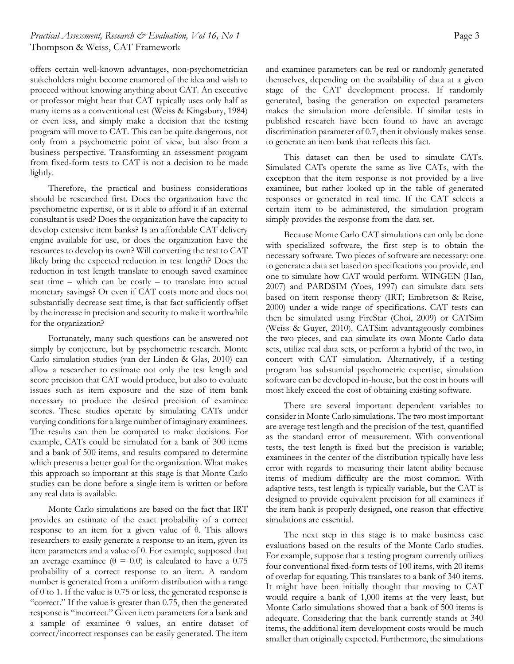# *Practical Assessment, Research & Evaluation, Vol 16, No 1* **Page 3 Page 3 Page 3** Thompson & Weiss, CAT Framework

offers certain well-known advantages, non-psychometrician stakeholders might become enamored of the idea and wish to proceed without knowing anything about CAT. An executive or professor might hear that CAT typically uses only half as many items as a conventional test (Weiss & Kingsbury, 1984) or even less, and simply make a decision that the testing program will move to CAT. This can be quite dangerous, not only from a psychometric point of view, but also from a business perspective. Transforming an assessment program from fixed-form tests to CAT is not a decision to be made lightly.

Therefore, the practical and business considerations should be researched first. Does the organization have the psychometric expertise, or is it able to afford it if an external consultant is used? Does the organization have the capacity to develop extensive item banks? Is an affordable CAT delivery engine available for use, or does the organization have the resources to develop its own? Will converting the test to CAT likely bring the expected reduction in test length? Does the reduction in test length translate to enough saved examinee seat time – which can be costly – to translate into actual monetary savings? Or even if CAT costs more and does not substantially decrease seat time, is that fact sufficiently offset by the increase in precision and security to make it worthwhile for the organization?

Fortunately, many such questions can be answered not simply by conjecture, but by psychometric research. Monte Carlo simulation studies (van der Linden & Glas, 2010) can allow a researcher to estimate not only the test length and score precision that CAT would produce, but also to evaluate issues such as item exposure and the size of item bank necessary to produce the desired precision of examinee scores. These studies operate by simulating CATs under varying conditions for a large number of imaginary examinees. The results can then be compared to make decisions. For example, CATs could be simulated for a bank of 300 items and a bank of 500 items, and results compared to determine which presents a better goal for the organization. What makes this approach so important at this stage is that Monte Carlo studies can be done before a single item is written or before any real data is available.

Monte Carlo simulations are based on the fact that IRT provides an estimate of the exact probability of a correct response to an item for a given value of θ. This allows researchers to easily generate a response to an item, given its item parameters and a value of θ. For example, supposed that an average examinee ( $\theta = 0.0$ ) is calculated to have a 0.75 probability of a correct response to an item. A random number is generated from a uniform distribution with a range of 0 to 1. If the value is 0.75 or less, the generated response is "correct." If the value is greater than 0.75, then the generated response is "incorrect." Given item parameters for a bank and a sample of examinee θ values, an entire dataset of correct/incorrect responses can be easily generated. The item

and examinee parameters can be real or randomly generated themselves, depending on the availability of data at a given stage of the CAT development process. If randomly generated, basing the generation on expected parameters makes the simulation more defensible. If similar tests in published research have been found to have an average discrimination parameter of 0.7, then it obviously makes sense to generate an item bank that reflects this fact.

This dataset can then be used to simulate CATs. Simulated CATs operate the same as live CATs, with the exception that the item response is not provided by a live examinee, but rather looked up in the table of generated responses or generated in real time. If the CAT selects a certain item to be administered, the simulation program simply provides the response from the data set.

Because Monte Carlo CAT simulations can only be done with specialized software, the first step is to obtain the necessary software. Two pieces of software are necessary: one to generate a data set based on specifications you provide, and one to simulate how CAT would perform. WINGEN (Han, 2007) and PARDSIM (Yoes, 1997) can simulate data sets based on item response theory (IRT; Embretson & Reise, 2000) under a wide range of specifications. CAT tests can then be simulated using FireStar (Choi, 2009) or CATSim (Weiss & Guyer, 2010). CATSim advantageously combines the two pieces, and can simulate its own Monte Carlo data sets, utilize real data sets, or perform a hybrid of the two, in concert with CAT simulation. Alternatively, if a testing program has substantial psychometric expertise, simulation software can be developed in-house, but the cost in hours will most likely exceed the cost of obtaining existing software.

There are several important dependent variables to consider in Monte Carlo simulations. The two most important are average test length and the precision of the test, quantified as the standard error of measurement. With conventional tests, the test length is fixed but the precision is variable; examinees in the center of the distribution typically have less error with regards to measuring their latent ability because items of medium difficulty are the most common. With adaptive tests, test length is typically variable, but the CAT is designed to provide equivalent precision for all examinees if the item bank is properly designed, one reason that effective simulations are essential.

The next step in this stage is to make business case evaluations based on the results of the Monte Carlo studies. For example, suppose that a testing program currently utilizes four conventional fixed-form tests of 100 items, with 20 items of overlap for equating. This translates to a bank of 340 items. It might have been initially thought that moving to CAT would require a bank of 1,000 items at the very least, but Monte Carlo simulations showed that a bank of 500 items is adequate. Considering that the bank currently stands at 340 items, the additional item development costs would be much smaller than originally expected. Furthermore, the simulations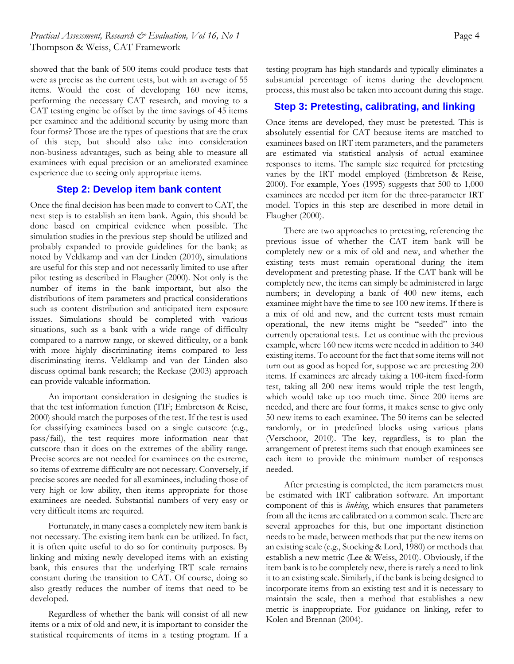# *Practical Assessment, Research & Evaluation, Vol 16, No 1* **Page 4 Page 4 Page 4** Thompson & Weiss, CAT Framework

showed that the bank of 500 items could produce tests that were as precise as the current tests, but with an average of 55 items. Would the cost of developing 160 new items, performing the necessary CAT research, and moving to a CAT testing engine be offset by the time savings of 45 items per examinee and the additional security by using more than four forms? Those are the types of questions that are the crux of this step, but should also take into consideration non-business advantages, such as being able to measure all examinees with equal precision or an ameliorated examinee experience due to seeing only appropriate items.

# **Step 2: Develop item bank content**

Once the final decision has been made to convert to CAT, the next step is to establish an item bank. Again, this should be done based on empirical evidence when possible. The simulation studies in the previous step should be utilized and probably expanded to provide guidelines for the bank; as noted by Veldkamp and van der Linden (2010), simulations are useful for this step and not necessarily limited to use after pilot testing as described in Flaugher (2000). Not only is the number of items in the bank important, but also the distributions of item parameters and practical considerations such as content distribution and anticipated item exposure issues. Simulations should be completed with various situations, such as a bank with a wide range of difficulty compared to a narrow range, or skewed difficulty, or a bank with more highly discriminating items compared to less discriminating items. Veldkamp and van der Linden also discuss optimal bank research; the Reckase (2003) approach can provide valuable information.

An important consideration in designing the studies is that the test information function (TIF; Embretson & Reise, 2000) should match the purposes of the test. If the test is used for classifying examinees based on a single cutscore (e.g., pass/fail), the test requires more information near that cutscore than it does on the extremes of the ability range. Precise scores are not needed for examinees on the extreme, so items of extreme difficulty are not necessary. Conversely, if precise scores are needed for all examinees, including those of very high or low ability, then items appropriate for those examinees are needed. Substantial numbers of very easy or very difficult items are required.

Fortunately, in many cases a completely new item bank is not necessary. The existing item bank can be utilized. In fact, it is often quite useful to do so for continuity purposes. By linking and mixing newly developed items with an existing bank, this ensures that the underlying IRT scale remains constant during the transition to CAT. Of course, doing so also greatly reduces the number of items that need to be developed.

Regardless of whether the bank will consist of all new items or a mix of old and new, it is important to consider the statistical requirements of items in a testing program. If a

testing program has high standards and typically eliminates a substantial percentage of items during the development process, this must also be taken into account during this stage.

# **Step 3: Pretesting, calibrating, and linking**

Once items are developed, they must be pretested. This is absolutely essential for CAT because items are matched to examinees based on IRT item parameters, and the parameters are estimated via statistical analysis of actual examinee responses to items. The sample size required for pretesting varies by the IRT model employed (Embretson & Reise, 2000). For example, Yoes (1995) suggests that 500 to 1,000 examinees are needed per item for the three-parameter IRT model. Topics in this step are described in more detail in Flaugher (2000).

There are two approaches to pretesting, referencing the previous issue of whether the CAT item bank will be completely new or a mix of old and new, and whether the existing tests must remain operational during the item development and pretesting phase. If the CAT bank will be completely new, the items can simply be administered in large numbers; in developing a bank of 400 new items, each examinee might have the time to see 100 new items. If there is a mix of old and new, and the current tests must remain operational, the new items might be "seeded" into the currently operational tests. Let us continue with the previous example, where 160 new items were needed in addition to 340 existing items. To account for the fact that some items will not turn out as good as hoped for, suppose we are pretesting 200 items. If examinees are already taking a 100-item fixed-form test, taking all 200 new items would triple the test length, which would take up too much time. Since 200 items are needed, and there are four forms, it makes sense to give only 50 new items to each examinee. The 50 items can be selected randomly, or in predefined blocks using various plans (Verschoor, 2010). The key, regardless, is to plan the arrangement of pretest items such that enough examinees see each item to provide the minimum number of responses needed.

After pretesting is completed, the item parameters must be estimated with IRT calibration software. An important component of this is *linking*, which ensures that parameters from all the items are calibrated on a common scale. There are several approaches for this, but one important distinction needs to be made, between methods that put the new items on an existing scale (e.g., Stocking & Lord, 1980) or methods that establish a new metric (Lee & Weiss, 2010). Obviously, if the item bank is to be completely new, there is rarely a need to link it to an existing scale. Similarly, if the bank is being designed to incorporate items from an existing test and it is necessary to maintain the scale, then a method that establishes a new metric is inappropriate. For guidance on linking, refer to Kolen and Brennan (2004).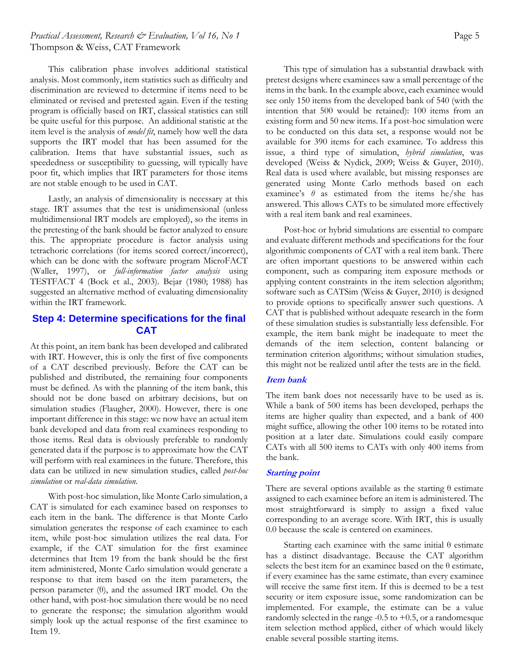# *Practical Assessment, Research & Evaluation, Vol 16, No 1* **Page 5 Page 5** Thompson & Weiss, CAT Framework

This calibration phase involves additional statistical analysis. Most commonly, item statistics such as difficulty and discrimination are reviewed to determine if items need to be eliminated or revised and pretested again. Even if the testing program is officially based on IRT, classical statistics can still be quite useful for this purpose. An additional statistic at the item level is the analysis of *model fit*, namely how well the data supports the IRT model that has been assumed for the calibration. Items that have substantial issues, such as speededness or susceptibility to guessing, will typically have poor fit, which implies that IRT parameters for those items are not stable enough to be used in CAT.

Lastly, an analysis of dimensionality is necessary at this stage. IRT assumes that the test is unidimensional (unless multidimensional IRT models are employed), so the items in the pretesting of the bank should be factor analyzed to ensure this. The appropriate procedure is factor analysis using tetrachoric correlations (for items scored correct/incorrect), which can be done with the software program MicroFACT (Waller, 1997), or *full-information factor analysis* using TESTFACT 4 (Bock et al., 2003). Bejar (1980; 1988) has suggested an alternative method of evaluating dimensionality within the IRT framework.

# **Step 4: Determine specifications for the final CAT**

At this point, an item bank has been developed and calibrated with IRT. However, this is only the first of five components of a CAT described previously. Before the CAT can be published and distributed, the remaining four components must be defined. As with the planning of the item bank, this should not be done based on arbitrary decisions, but on simulation studies (Flaugher, 2000). However, there is one important difference in this stage: we now have an actual item bank developed and data from real examinees responding to those items. Real data is obviously preferable to randomly generated data if the purpose is to approximate how the CAT will perform with real examinees in the future. Therefore, this data can be utilized in new simulation studies, called *post-hoc simulation* or *real-data simulation*.

With post-hoc simulation, like Monte Carlo simulation, a CAT is simulated for each examinee based on responses to each item in the bank. The difference is that Monte Carlo simulation generates the response of each examinee to each item, while post-hoc simulation utilizes the real data. For example, if the CAT simulation for the first examinee determines that Item 19 from the bank should be the first item administered, Monte Carlo simulation would generate a response to that item based on the item parameters, the person parameter (θ), and the assumed IRT model. On the other hand, with post-hoc simulation there would be no need to generate the response; the simulation algorithm would simply look up the actual response of the first examinee to Item 19.

This type of simulation has a substantial drawback with pretest designs where examinees saw a small percentage of the items in the bank. In the example above, each examinee would see only 150 items from the developed bank of 540 (with the intention that 500 would be retained): 100 items from an existing form and 50 new items. If a post-hoc simulation were to be conducted on this data set, a response would not be available for 390 items for each examinee. To address this issue, a third type of simulation, *hybrid simulation*, was developed (Weiss & Nydick, 2009; Weiss & Guyer, 2010). Real data is used where available, but missing responses are generated using Monte Carlo methods based on each examinee's  $\theta$  as estimated from the items he/she has answered. This allows CATs to be simulated more effectively with a real item bank and real examinees.

Post-hoc or hybrid simulations are essential to compare and evaluate different methods and specifications for the four algorithmic components of CAT with a real item bank. There are often important questions to be answered within each component, such as comparing item exposure methods or applying content constraints in the item selection algorithm; software such as CATSim (Weiss & Guyer, 2010) is designed to provide options to specifically answer such questions. A CAT that is published without adequate research in the form of these simulation studies is substantially less defensible. For example, the item bank might be inadequate to meet the demands of the item selection, content balancing or termination criterion algorithms; without simulation studies, this might not be realized until after the tests are in the field.

# **Item bank**

The item bank does not necessarily have to be used as is. While a bank of 500 items has been developed, perhaps the items are higher quality than expected, and a bank of 400 might suffice, allowing the other 100 items to be rotated into position at a later date. Simulations could easily compare CATs with all 500 items to CATs with only 400 items from the bank.

#### **Starting point**

There are several options available as the starting  $\theta$  estimate assigned to each examinee before an item is administered. The most straightforward is simply to assign a fixed value corresponding to an average score. With IRT, this is usually 0.0 because the scale is centered on examinees.

Starting each examinee with the same initial  $\theta$  estimate has a distinct disadvantage. Because the CAT algorithm selects the best item for an examinee based on the  $\theta$  estimate, if every examinee has the same estimate, than every examinee will receive the same first item. If this is deemed to be a test security or item exposure issue, some randomization can be implemented. For example, the estimate can be a value randomly selected in the range -0.5 to +0.5, or a randomesque item selection method applied, either of which would likely enable several possible starting items.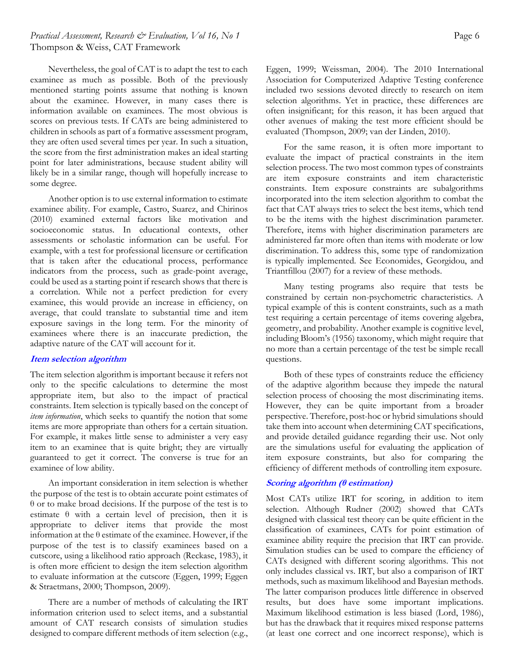# *Practical Assessment, Research & Evaluation, Vol 16, No 1* **Page 6 Page 6 Page 6** Thompson & Weiss, CAT Framework

Nevertheless, the goal of CAT is to adapt the test to each examinee as much as possible. Both of the previously mentioned starting points assume that nothing is known about the examinee. However, in many cases there is information available on examinees. The most obvious is scores on previous tests. If CATs are being administered to children in schools as part of a formative assessment program, they are often used several times per year. In such a situation, the score from the first administration makes an ideal starting point for later administrations, because student ability will likely be in a similar range, though will hopefully increase to some degree.

Another option is to use external information to estimate examinee ability. For example, Castro, Suarez, and Chirinos (2010) examined external factors like motivation and socioeconomic status. In educational contexts, other assessments or scholastic information can be useful. For example, with a test for professional licensure or certification that is taken after the educational process, performance indicators from the process, such as grade-point average, could be used as a starting point if research shows that there is a correlation. While not a perfect prediction for every examinee, this would provide an increase in efficiency, on average, that could translate to substantial time and item exposure savings in the long term. For the minority of examinees where there is an inaccurate prediction, the adaptive nature of the CAT will account for it.

#### **Item selection algorithm**

The item selection algorithm is important because it refers not only to the specific calculations to determine the most appropriate item, but also to the impact of practical constraints. Item selection is typically based on the concept of *item information*, which seeks to quantify the notion that some items are more appropriate than others for a certain situation. For example, it makes little sense to administer a very easy item to an examinee that is quite bright; they are virtually guaranteed to get it correct. The converse is true for an examinee of low ability.

An important consideration in item selection is whether the purpose of the test is to obtain accurate point estimates of θ or to make broad decisions. If the purpose of the test is to estimate  $\theta$  with a certain level of precision, then it is appropriate to deliver items that provide the most information at the θ estimate of the examinee. However, if the purpose of the test is to classify examinees based on a cutscore, using a likelihood ratio approach (Reckase, 1983), it is often more efficient to design the item selection algorithm to evaluate information at the cutscore (Eggen, 1999; Eggen & Straetmans, 2000; Thompson, 2009).

There are a number of methods of calculating the IRT information criterion used to select items, and a substantial amount of CAT research consists of simulation studies designed to compare different methods of item selection (e.g.,

Eggen, 1999; Weissman, 2004). The 2010 International Association for Computerized Adaptive Testing conference included two sessions devoted directly to research on item selection algorithms. Yet in practice, these differences are often insignificant; for this reason, it has been argued that other avenues of making the test more efficient should be evaluated (Thompson, 2009; van der Linden, 2010).

For the same reason, it is often more important to evaluate the impact of practical constraints in the item selection process. The two most common types of constraints are item exposure constraints and item characteristic constraints. Item exposure constraints are subalgorithms incorporated into the item selection algorithm to combat the fact that CAT always tries to select the best items, which tend to be the items with the highest discrimination parameter. Therefore, items with higher discrimination parameters are administered far more often than items with moderate or low discrimination. To address this, some type of randomization is typically implemented. See Economides, Georgidou, and Triantfillou (2007) for a review of these methods.

Many testing programs also require that tests be constrained by certain non-psychometric characteristics. A typical example of this is content constraints, such as a math test requiring a certain percentage of items covering algebra, geometry, and probability. Another example is cognitive level, including Bloom's (1956) taxonomy, which might require that no more than a certain percentage of the test be simple recall questions.

Both of these types of constraints reduce the efficiency of the adaptive algorithm because they impede the natural selection process of choosing the most discriminating items. However, they can be quite important from a broader perspective. Therefore, post-hoc or hybrid simulations should take them into account when determining CAT specifications, and provide detailed guidance regarding their use. Not only are the simulations useful for evaluating the application of item exposure constraints, but also for comparing the efficiency of different methods of controlling item exposure.

#### **Scoring algorithm (θ estimation)**

Most CATs utilize IRT for scoring, in addition to item selection. Although Rudner (2002) showed that CATs designed with classical test theory can be quite efficient in the classification of examinees, CATs for point estimation of examinee ability require the precision that IRT can provide. Simulation studies can be used to compare the efficiency of CATs designed with different scoring algorithms. This not only includes classical vs. IRT, but also a comparison of IRT methods, such as maximum likelihood and Bayesian methods. The latter comparison produces little difference in observed results, but does have some important implications. Maximum likelihood estimation is less biased (Lord, 1986), but has the drawback that it requires mixed response patterns (at least one correct and one incorrect response), which is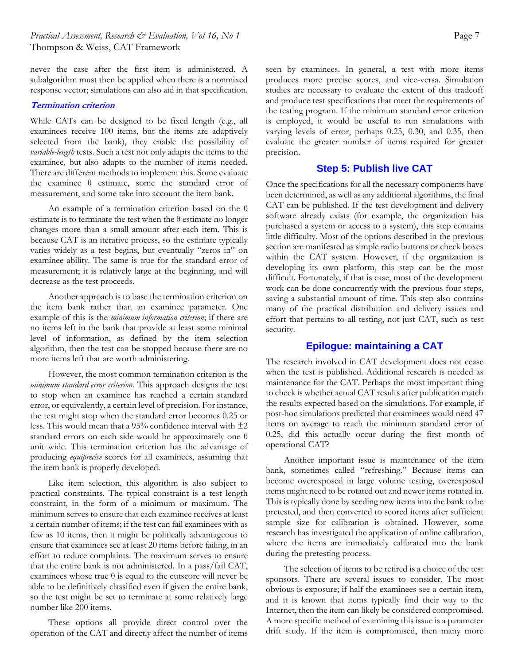never the case after the first item is administered. A subalgorithm must then be applied when there is a nonmixed response vector; simulations can also aid in that specification.

#### **Termination criterion**

While CATs can be designed to be fixed length (e.g., all examinees receive 100 items, but the items are adaptively selected from the bank), they enable the possibility of *variable-length* tests. Such a test not only adapts the items to the examinee, but also adapts to the number of items needed. There are different methods to implement this. Some evaluate the examinee θ estimate, some the standard error of measurement, and some take into account the item bank.

An example of a termination criterion based on the  $\theta$ estimate is to terminate the test when the  $\theta$  estimate no longer changes more than a small amount after each item. This is because CAT is an iterative process, so the estimate typically varies widely as a test begins, but eventually "zeros in" on examinee ability. The same is true for the standard error of measurement; it is relatively large at the beginning, and will decrease as the test proceeds.

Another approach is to base the termination criterion on the item bank rather than an examinee parameter. One example of this is the *minimum information criterion*; if there are no items left in the bank that provide at least some minimal level of information, as defined by the item selection algorithm, then the test can be stopped because there are no more items left that are worth administering.

However, the most common termination criterion is the *minimum standard error criterion*. This approach designs the test to stop when an examinee has reached a certain standard error, or equivalently, a certain level of precision. For instance, the test might stop when the standard error becomes 0.25 or less. This would mean that a 95% confidence interval with  $\pm 2$ standard errors on each side would be approximately one θ unit wide. This termination criterion has the advantage of producing *equiprecise* scores for all examinees, assuming that the item bank is properly developed.

Like item selection, this algorithm is also subject to practical constraints. The typical constraint is a test length constraint, in the form of a minimum or maximum. The minimum serves to ensure that each examinee receives at least a certain number of items; if the test can fail examinees with as few as 10 items, then it might be politically advantageous to ensure that examinees see at least 20 items before failing, in an effort to reduce complaints. The maximum serves to ensure that the entire bank is not administered. In a pass/fail CAT, examinees whose true  $\theta$  is equal to the cutscore will never be able to be definitively classified even if given the entire bank, so the test might be set to terminate at some relatively large number like 200 items.

These options all provide direct control over the operation of the CAT and directly affect the number of items seen by examinees. In general, a test with more items produces more precise scores, and vice-versa. Simulation studies are necessary to evaluate the extent of this tradeoff and produce test specifications that meet the requirements of the testing program. If the minimum standard error criterion is employed, it would be useful to run simulations with varying levels of error, perhaps 0.25, 0.30, and 0.35, then evaluate the greater number of items required for greater precision.

# **Step 5: Publish live CAT**

Once the specifications for all the necessary components have been determined, as well as any additional algorithms, the final CAT can be published. If the test development and delivery software already exists (for example, the organization has purchased a system or access to a system), this step contains little difficulty. Most of the options described in the previous section are manifested as simple radio buttons or check boxes within the CAT system. However, if the organization is developing its own platform, this step can be the most difficult. Fortunately, if that is case, most of the development work can be done concurrently with the previous four steps, saving a substantial amount of time. This step also contains many of the practical distribution and delivery issues and effort that pertains to all testing, not just CAT, such as test security.

## **Epilogue: maintaining a CAT**

The research involved in CAT development does not cease when the test is published. Additional research is needed as maintenance for the CAT. Perhaps the most important thing to check is whether actual CAT results after publication match the results expected based on the simulations. For example, if post-hoc simulations predicted that examinees would need 47 items on average to reach the minimum standard error of 0.25, did this actually occur during the first month of operational CAT?

Another important issue is maintenance of the item bank, sometimes called "refreshing." Because items can become overexposed in large volume testing, overexposed items might need to be rotated out and newer items rotated in. This is typically done by seeding new items into the bank to be pretested, and then converted to scored items after sufficient sample size for calibration is obtained. However, some research has investigated the application of online calibration, where the items are immediately calibrated into the bank during the pretesting process.

The selection of items to be retired is a choice of the test sponsors. There are several issues to consider. The most obvious is exposure; if half the examinees see a certain item, and it is known that items typically find their way to the Internet, then the item can likely be considered compromised. A more specific method of examining this issue is a parameter drift study. If the item is compromised, then many more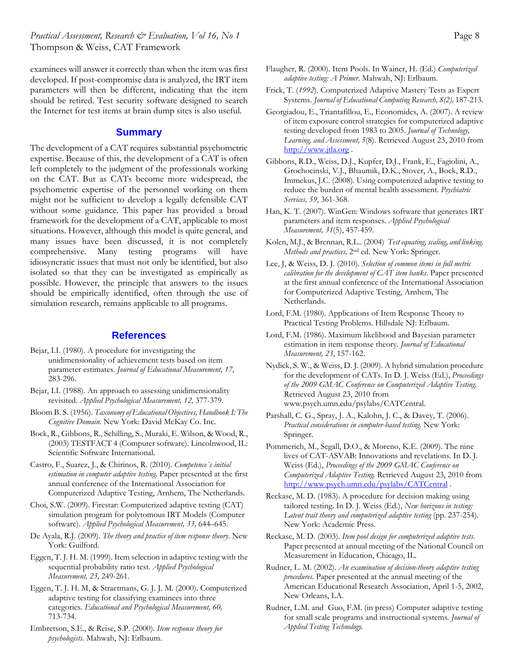*Practical Assessment, Research & Evaluation, Vol 16, No 1* **Page 8 Page 8** Thompson & Weiss, CAT Framework

examinees will answer it correctly than when the item was first developed. If post-compromise data is analyzed, the IRT item parameters will then be different, indicating that the item should be retired. Test security software designed to search the Internet for test items at brain dump sites is also useful.

#### **Summary**

The development of a CAT requires substantial psychometric expertise. Because of this, the development of a CAT is often left completely to the judgment of the professionals working on the CAT. But as CATs become more widespread, the psychometric expertise of the personnel working on them might not be sufficient to develop a legally defensible CAT without some guidance. This paper has provided a broad framework for the development of a CAT, applicable to most situations. However, although this model is quite general, and many issues have been discussed, it is not completely comprehensive. Many testing programs will have idiosyncratic issues that must not only be identified, but also isolated so that they can be investigated as empirically as possible. However, the principle that answers to the issues should be empirically identified, often through the use of simulation research, remains applicable to all programs.

#### **References**

- Bejar, I.I. (1980). A procedure for investigating the unidimensionality of achievement tests based on item parameter estimates. *Journal of Educational Measurement, 17,*  283-296.
- Bejar, I.I. (1988). An approach to assessing unidimensionality revisited. *Applied Psychological Measurement, 12,* 377-379.
- Bloom B. S. (1956). *Taxonomy of Educational Objectives, Handbook I: The Cognitive Domain.* New York: David McKay Co. Inc.
- Bock, R., Gibbons, R., Schilling, S., Muraki, E. Wilson, & Wood, R., (2003) TESTFACT 4 (Computer software). Lincolnwood, IL: Scientific Software International.

Castro, F., Suarez, J., & Chirinos, R. (2010). *Competence´s initial estimation in computer adaptive testing*. Paper presented at the first annual conference of the International Association for Computerized Adaptive Testing, Arnhem, The Netherlands.

Choi, S.W. (2009). Firestar: Computerized adaptive testing (CAT) simulation program for polytomous IRT Models (Computer software). *Applied Psychological Measurement, 33,* 644–645.

De Ayala, R.J. (2009). *The theory and practice of item response theory*. New York: Guilford.

Eggen, T. J. H. M. (1999). Item selection in adaptive testing with the sequential probability ratio test. *Applied Psychological Measurement, 23,* 249-261.

Eggen, T. J. H. M, & Straetmans, G. J. J. M. (2000). Computerized adaptive testing for classifying examinees into three categories. *Educational and Psychological Measurement, 60,*  713-734.

Embretson, S.E., & Reise, S.P. (2000). *Item response theory for psychologists.* Mahwah, NJ: Erlbaum.

- Flaugher, R. (2000). Item Pools. In Wainer, H. (Ed.) *Computerized adaptive testing: A Primer*. Mahwah, NJ: Erlbaum.
- Frick, T. (*1992*). Computerized Adaptive Mastery Tests as Expert Systems. *Journal of Educational Computing Research, 8(2),* 187-213.
- Georgiadou, E., Triantafillou, E., Economides, A. (2007). A review of item exposure control strategies for computerized adaptive testing developed from 1983 to 2005. *Journal of Technology, Learning, and Assessment, 5*(8). Retrieved August 23, 2010 from http://www.jtla.org .
- Gibbons, R.D., Weiss, D.J., Kupfer, D.J., Frank, E., Fagiolini, A., Grochocinski, V.J., Bhaumik, D.K., Stover, A., Bock, R.D., Immekus, J.C. (2008). Using computerized adaptive testing to reduce the burden of mental health assessment. *Psychiatric Services, 59*, 361-368.
- Han, K. T. (2007). WinGen: Windows software that generates IRT parameters and item responses. *Applied Psychological Measurement, 31*(5), 457-459.
- Kolen, M.J., & Brennan, R.L.. (2004) *Test equating, scaling, and linking. Methods and practices,* 2nd ed. New York: Springer.
- Lee, J, & Weiss, D. J. (2010). *Selection of common items in full metric calibration for the development of CAT item banks*. Paper presented at the first annual conference of the International Association for Computerized Adaptive Testing, Arnhem, The Netherlands.
- Lord, F.M. (1980). Applications of Item Response Theory to Practical Testing Problems. Hillsdale NJ: Erlbaum.
- Lord, F.M. (1986). Maximum likelihood and Bayesian parameter estimation in item response theory. *Journal of Educational Measurement, 23*, 157-162.
- Nydick, S. W., & Weiss, D. J. (2009). A hybrid simulation procedure for the development of CATs. In D. J. Weiss (Ed.), *Proceedings of the 2009 GMAC Conference on Computerized Adaptive Testing.*  Retrieved August 23, 2010 from www.psych.umn.edu/psylabs/CATCentral.
- Parshall, C. G., Spray, J. A., Kalohn, J. C., & Davey, T. (2006). *Practical considerations in computer-based testing*. New York: Springer.
- Pommerich, M., Segall, D.O., & Moreno, K.E. (2009). The nine lives of CAT-ASVAB: Innovations and revelations. In D. J. Weiss (Ed.), *Proceedings of the 2009 GMAC Conference on Computerized Adaptive Testing.* Retrieved August 23, 2010 from http://www.psych.umn.edu/psylabs/CATCentral .
- Reckase, M. D. (1983). A procedure for decision making using tailored testing. In D. J. Weiss (Ed.), *New horizons in testing:*  Latent trait theory and computerized adaptive testing (pp. 237-254). New York: Academic Press.
- Reckase, M. D. (2003). *Item pool design for computerized adaptive tests.*  Paper presented at annual meeting of the National Council on Measurement in Education, Chicago, IL.
- Rudner, L. M. (2002). *An examination of decision-theory adaptive testing procedures.* Paper presented at the annual meeting of the American Educational Research Association, April 1-5, 2002, New Orleans, LA.
- Rudner, L.M. and Guo, F.M. (in press) Computer adaptive testing for small scale programs and instructional systems. *Journal of Applied Testing Technology.*